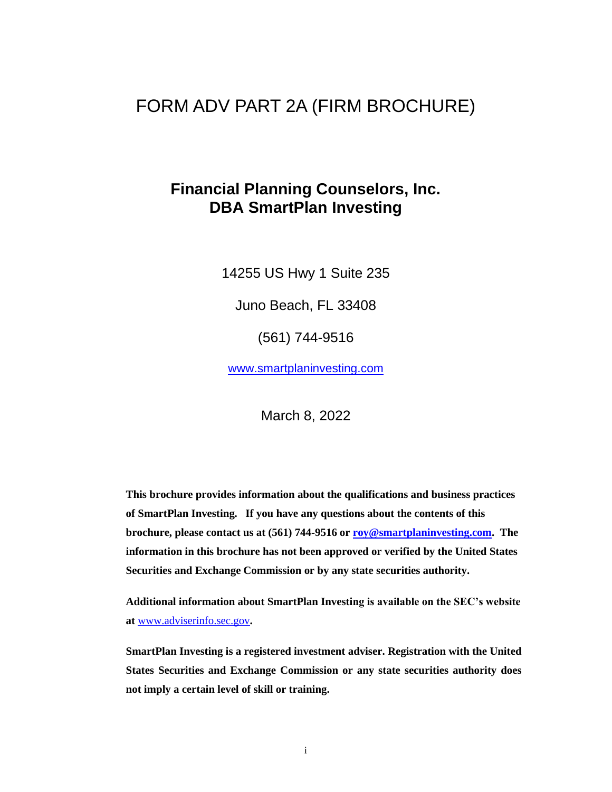# FORM ADV PART 2A (FIRM BROCHURE)

# **Financial Planning Counselors, Inc. DBA SmartPlan Investing**

14255 US Hwy 1 Suite 235

Juno Beach, FL 33408

(561) 744-9516

[www.smartplaninvesting.com](http://www.smartplaninvesting.com/) 

March 8, 2022

**This brochure provides information about the qualifications and business practices of SmartPlan Investing. If you have any questions about the contents of this brochure, please contact us at (561) 744-9516 or [roy@smartplaninvesting.com.](mailto:roy@smartplaninvesting.com) The information in this brochure has not been approved or verified by the United States Securities and Exchange Commission or by any state securities authority.**

**Additional information about SmartPlan Investing is available on the SEC's website at** [www.adviserinfo.sec.gov](http://www.adviserinfo.sec.gov/)**.** 

**SmartPlan Investing is a registered investment adviser. Registration with the United States Securities and Exchange Commission or any state securities authority does not imply a certain level of skill or training.**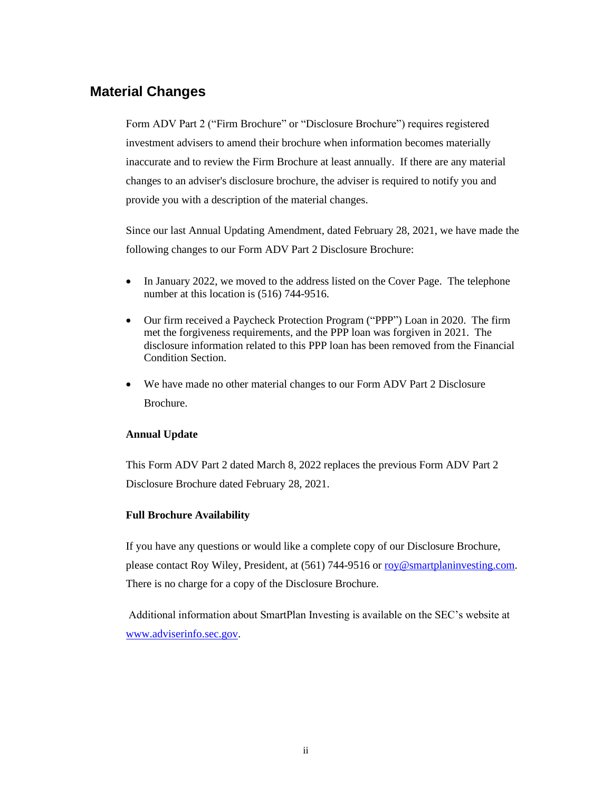## <span id="page-1-0"></span>**Material Changes**

Form ADV Part 2 ("Firm Brochure" or "Disclosure Brochure") requires registered investment advisers to amend their brochure when information becomes materially inaccurate and to review the Firm Brochure at least annually. If there are any material changes to an adviser's disclosure brochure, the adviser is required to notify you and provide you with a description of the material changes.

Since our last Annual Updating Amendment, dated February 28, 2021, we have made the following changes to our Form ADV Part 2 Disclosure Brochure:

- In January 2022, we moved to the address listed on the Cover Page. The telephone number at this location is  $(516)$  744-9516.
- Our firm received a Paycheck Protection Program ("PPP") Loan in 2020. The firm met the forgiveness requirements, and the PPP loan was forgiven in 2021. The disclosure information related to this PPP loan has been removed from the Financial Condition Section.
- We have made no other material changes to our Form ADV Part 2 Disclosure Brochure.

### **Annual Update**

This Form ADV Part 2 dated March 8, 2022 replaces the previous Form ADV Part 2 Disclosure Brochure dated February 28, 2021.

#### **Full Brochure Availability**

If you have any questions or would like a complete copy of our Disclosure Brochure, please contact Roy Wiley, President, at (561) 744-9516 o[r roy@smartplaninvesting.com.](mailto:roy@smartplaninvesting.com) There is no charge for a copy of the Disclosure Brochure.

Additional information about SmartPlan Investing is available on the SEC's website at [www.adviserinfo.sec.gov.](http://www.adviserinfo.sec.gov/)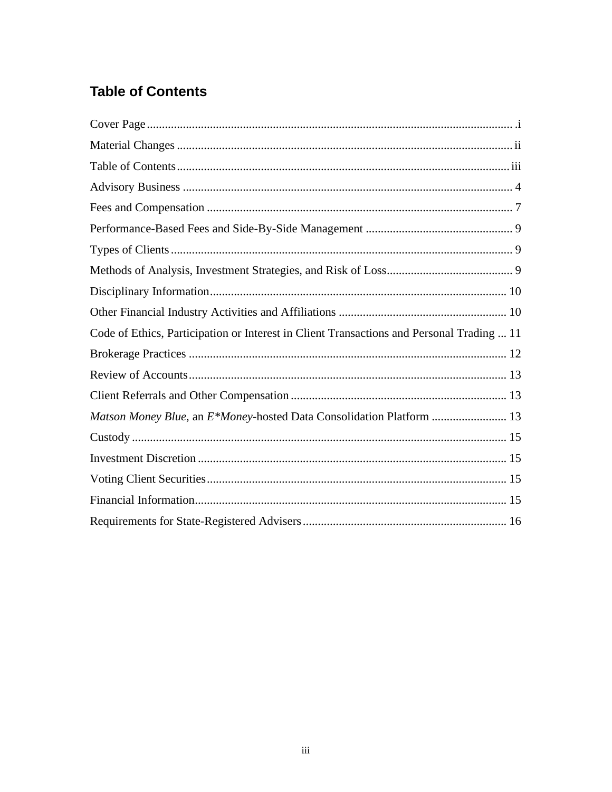# <span id="page-2-0"></span>**Table of Contents**

| Code of Ethics, Participation or Interest in Client Transactions and Personal Trading  11 |
|-------------------------------------------------------------------------------------------|
|                                                                                           |
|                                                                                           |
|                                                                                           |
| Matson Money Blue, an E*Money-hosted Data Consolidation Platform  13                      |
|                                                                                           |
|                                                                                           |
|                                                                                           |
|                                                                                           |
|                                                                                           |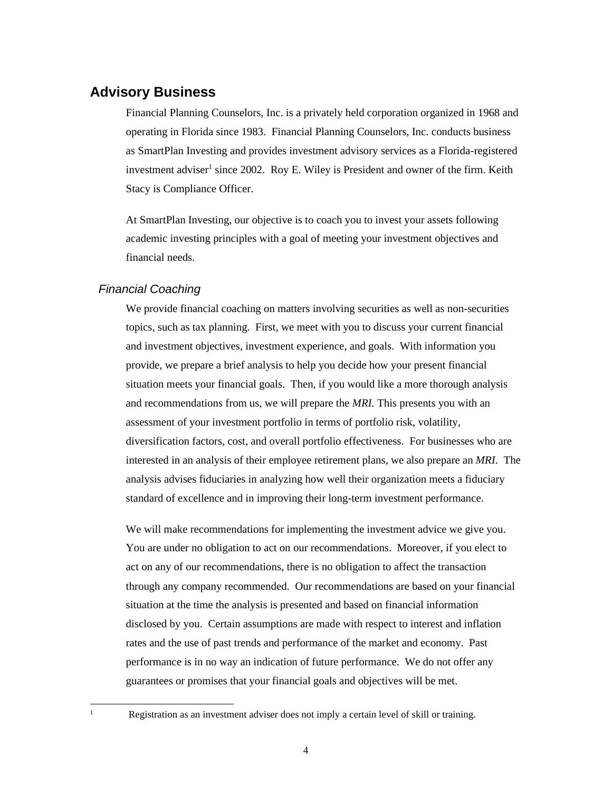### <span id="page-3-0"></span>**Advisory Business**

Financial Planning Counselors, Inc. is a privately held corporation organized in 1968 and operating in Florida since 1983. Financial Planning Counselors, Inc. conducts business as SmartPlan Investing and provides investment advisory services as a Florida-registered investment adviser<sup>1</sup> since 2002. Roy E. Wiley is President and owner of the firm. Keith Stacy is Compliance Officer.

At SmartPlan Investing, our objective is to coach you to invest your assets following academic investing principles with a goal of meeting your investment objectives and financial needs.

#### *Financial Coaching*

We provide financial coaching on matters involving securities as well as non-securities topics, such as tax planning. First, we meet with you to discuss your current financial and investment objectives, investment experience, and goals. With information you provide, we prepare a brief analysis to help you decide how your present financial situation meets your financial goals. Then, if you would like a more thorough analysis and recommendations from us, we will prepare the *MRI.* This presents you with an assessment of your investment portfolio in terms of portfolio risk, volatility, diversification factors, cost, and overall portfolio effectiveness. For businesses who are interested in an analysis of their employee retirement plans, we also prepare an *MRI*. The analysis advises fiduciaries in analyzing how well their organization meets a fiduciary standard of excellence and in improving their long-term investment performance.

We will make recommendations for implementing the investment advice we give you. You are under no obligation to act on our recommendations. Moreover, if you elect to act on any of our recommendations, there is no obligation to affect the transaction through any company recommended. Our recommendations are based on your financial situation at the time the analysis is presented and based on financial information disclosed by you. Certain assumptions are made with respect to interest and inflation rates and the use of past trends and performance of the market and economy. Past performance is in no way an indication of future performance. We do not offer any guarantees or promises that your financial goals and objectives will be met.

<sup>&</sup>lt;sup>1</sup> Registration as an investment adviser does not imply a certain level of skill or training.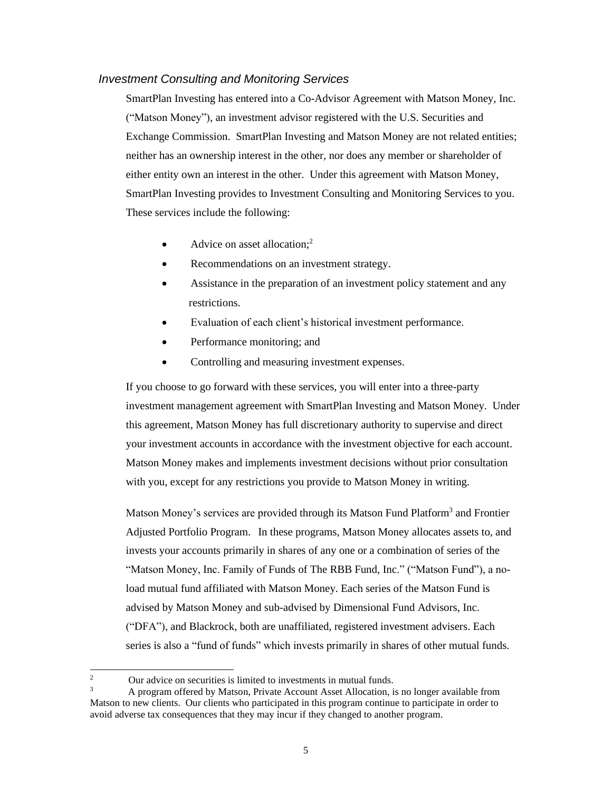#### *Investment Consulting and Monitoring Services*

SmartPlan Investing has entered into a Co-Advisor Agreement with Matson Money, Inc. ("Matson Money"), an investment advisor registered with the U.S. Securities and Exchange Commission. SmartPlan Investing and Matson Money are not related entities; neither has an ownership interest in the other, nor does any member or shareholder of either entity own an interest in the other. Under this agreement with Matson Money, SmartPlan Investing provides to Investment Consulting and Monitoring Services to you. These services include the following:

- Advice on asset allocation;<sup>2</sup>
- Recommendations on an investment strategy.
- Assistance in the preparation of an investment policy statement and any restrictions.
- Evaluation of each client's historical investment performance.
- Performance monitoring; and
- Controlling and measuring investment expenses.

If you choose to go forward with these services, you will enter into a three-party investment management agreement with SmartPlan Investing and Matson Money. Under this agreement, Matson Money has full discretionary authority to supervise and direct your investment accounts in accordance with the investment objective for each account. Matson Money makes and implements investment decisions without prior consultation with you, except for any restrictions you provide to Matson Money in writing.

Matson Money's services are provided through its Matson Fund Platform<sup>3</sup> and Frontier Adjusted Portfolio Program. In these programs, Matson Money allocates assets to, and invests your accounts primarily in shares of any one or a combination of series of the "Matson Money, Inc. Family of Funds of The RBB Fund, Inc." ("Matson Fund"), a noload mutual fund affiliated with Matson Money. Each series of the Matson Fund is advised by Matson Money and sub-advised by Dimensional Fund Advisors, Inc. ("DFA"), and Blackrock, both are unaffiliated, registered investment advisers. Each series is also a "fund of funds" which invests primarily in shares of other mutual funds.

<sup>&</sup>lt;sup>2</sup> Our advice on securities is limited to investments in mutual funds.<br> $\frac{3}{4}$  A program offered by Mateon Private A equation Asset Allocation is

<sup>3</sup> A program offered by Matson, Private Account Asset Allocation, is no longer available from Matson to new clients. Our clients who participated in this program continue to participate in order to avoid adverse tax consequences that they may incur if they changed to another program.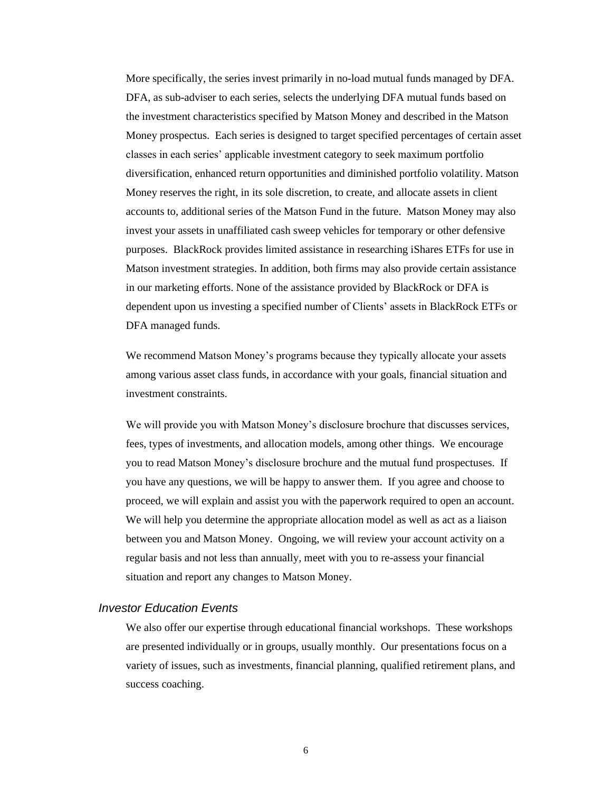More specifically, the series invest primarily in no-load mutual funds managed by DFA. DFA, as sub-adviser to each series, selects the underlying DFA mutual funds based on the investment characteristics specified by Matson Money and described in the Matson Money prospectus. Each series is designed to target specified percentages of certain asset classes in each series' applicable investment category to seek maximum portfolio diversification, enhanced return opportunities and diminished portfolio volatility. Matson Money reserves the right, in its sole discretion, to create, and allocate assets in client accounts to, additional series of the Matson Fund in the future. Matson Money may also invest your assets in unaffiliated cash sweep vehicles for temporary or other defensive purposes. BlackRock provides limited assistance in researching iShares ETFs for use in Matson investment strategies. In addition, both firms may also provide certain assistance in our marketing efforts. None of the assistance provided by BlackRock or DFA is dependent upon us investing a specified number of Clients' assets in BlackRock ETFs or DFA managed funds.

We recommend Matson Money's programs because they typically allocate your assets among various asset class funds, in accordance with your goals, financial situation and investment constraints.

We will provide you with Matson Money's disclosure brochure that discusses services, fees, types of investments, and allocation models, among other things. We encourage you to read Matson Money's disclosure brochure and the mutual fund prospectuses. If you have any questions, we will be happy to answer them. If you agree and choose to proceed, we will explain and assist you with the paperwork required to open an account. We will help you determine the appropriate allocation model as well as act as a liaison between you and Matson Money. Ongoing, we will review your account activity on a regular basis and not less than annually, meet with you to re-assess your financial situation and report any changes to Matson Money.

#### *Investor Education Events*

We also offer our expertise through educational financial workshops. These workshops are presented individually or in groups, usually monthly. Our presentations focus on a variety of issues, such as investments, financial planning, qualified retirement plans, and success coaching.

6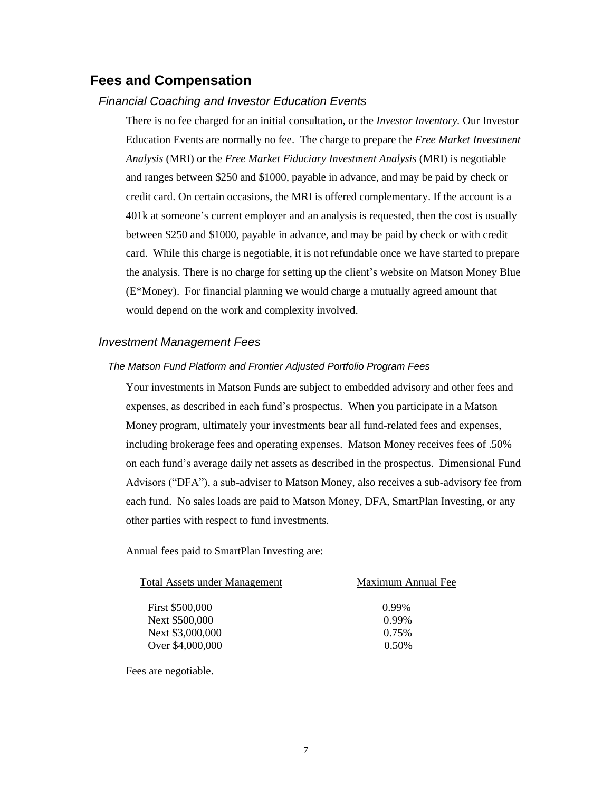### <span id="page-6-0"></span>**Fees and Compensation**

#### *Financial Coaching and Investor Education Events*

There is no fee charged for an initial consultation, or the *Investor Inventory.* Our Investor Education Events are normally no fee. The charge to prepare the *Free Market Investment Analysis* (MRI) or the *Free Market Fiduciary Investment Analysis* (MRI) is negotiable and ranges between \$250 and \$1000, payable in advance, and may be paid by check or credit card. On certain occasions, the MRI is offered complementary. If the account is a 401k at someone's current employer and an analysis is requested, then the cost is usually between \$250 and \$1000, payable in advance, and may be paid by check or with credit card. While this charge is negotiable, it is not refundable once we have started to prepare the analysis. There is no charge for setting up the client's website on Matson Money Blue (E\*Money). For financial planning we would charge a mutually agreed amount that would depend on the work and complexity involved.

#### *Investment Management Fees*

#### *The Matson Fund Platform and Frontier Adjusted Portfolio Program Fees*

Your investments in Matson Funds are subject to embedded advisory and other fees and expenses, as described in each fund's prospectus. When you participate in a Matson Money program, ultimately your investments bear all fund-related fees and expenses, including brokerage fees and operating expenses. Matson Money receives fees of .50% on each fund's average daily net assets as described in the prospectus. Dimensional Fund Advisors ("DFA"), a sub-adviser to Matson Money, also receives a sub-advisory fee from each fund. No sales loads are paid to Matson Money, DFA, SmartPlan Investing, or any other parties with respect to fund investments.

Annual fees paid to SmartPlan Investing are:

| <b>Total Assets under Management</b> | Maximum Annual Fee |
|--------------------------------------|--------------------|
| First \$500,000                      | 0.99%              |
| Next \$500,000                       | 0.99%              |
| Next \$3,000,000                     | 0.75%              |
| Over \$4,000,000                     | 0.50%              |
|                                      |                    |

Fees are negotiable.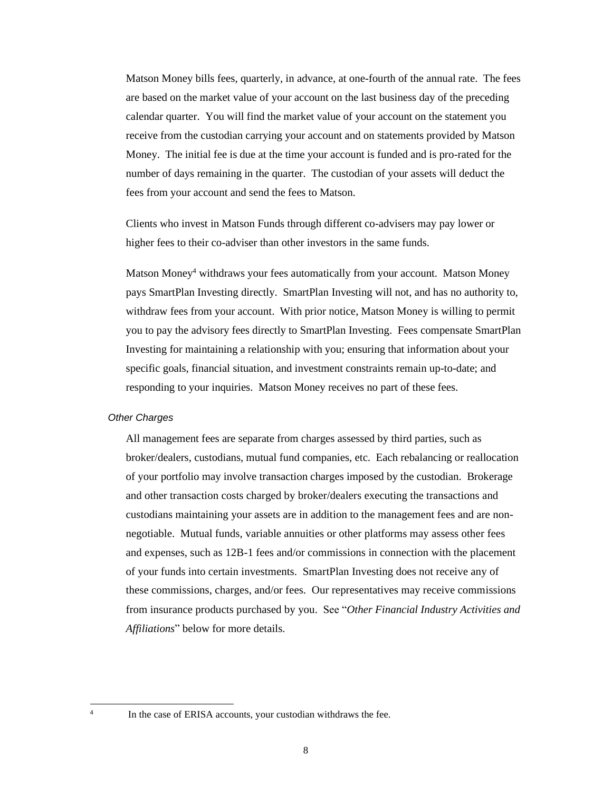Matson Money bills fees, quarterly, in advance, at one-fourth of the annual rate. The fees are based on the market value of your account on the last business day of the preceding calendar quarter. You will find the market value of your account on the statement you receive from the custodian carrying your account and on statements provided by Matson Money. The initial fee is due at the time your account is funded and is pro-rated for the number of days remaining in the quarter. The custodian of your assets will deduct the fees from your account and send the fees to Matson.

Clients who invest in Matson Funds through different co-advisers may pay lower or higher fees to their co-adviser than other investors in the same funds.

Matson Money<sup>4</sup> withdraws your fees automatically from your account. Matson Money pays SmartPlan Investing directly. SmartPlan Investing will not, and has no authority to, withdraw fees from your account. With prior notice, Matson Money is willing to permit you to pay the advisory fees directly to SmartPlan Investing. Fees compensate SmartPlan Investing for maintaining a relationship with you; ensuring that information about your specific goals, financial situation, and investment constraints remain up-to-date; and responding to your inquiries. Matson Money receives no part of these fees.

#### *Other Charges*

All management fees are separate from charges assessed by third parties, such as broker/dealers, custodians, mutual fund companies, etc. Each rebalancing or reallocation of your portfolio may involve transaction charges imposed by the custodian. Brokerage and other transaction costs charged by broker/dealers executing the transactions and custodians maintaining your assets are in addition to the management fees and are nonnegotiable. Mutual funds, variable annuities or other platforms may assess other fees and expenses, such as 12B-1 fees and/or commissions in connection with the placement of your funds into certain investments. SmartPlan Investing does not receive any of these commissions, charges, and/or fees. Our representatives may receive commissions from insurance products purchased by you. See "*Other Financial Industry Activities and Affiliations*" below for more details.

4

In the case of ERISA accounts, your custodian withdraws the fee.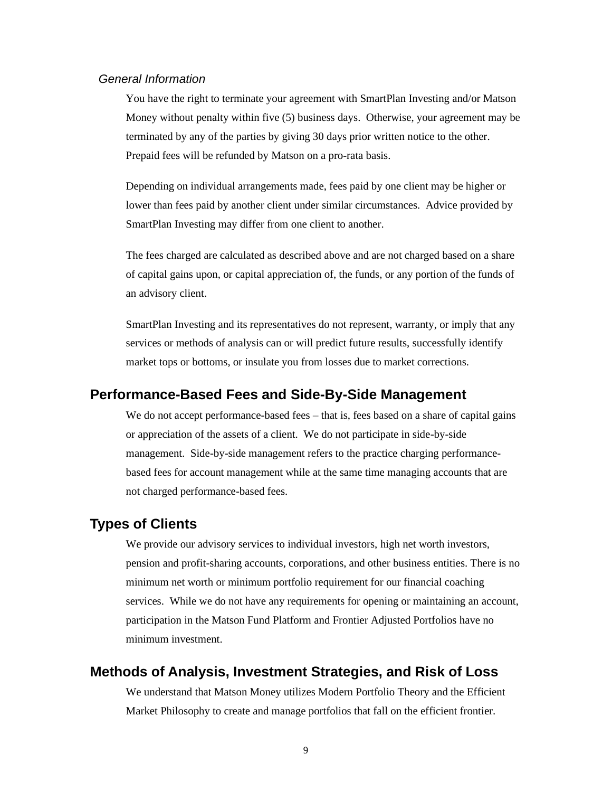#### *General Information*

You have the right to terminate your agreement with SmartPlan Investing and/or Matson Money without penalty within five (5) business days. Otherwise, your agreement may be terminated by any of the parties by giving 30 days prior written notice to the other. Prepaid fees will be refunded by Matson on a pro-rata basis.

Depending on individual arrangements made, fees paid by one client may be higher or lower than fees paid by another client under similar circumstances. Advice provided by SmartPlan Investing may differ from one client to another.

The fees charged are calculated as described above and are not charged based on a share of capital gains upon, or capital appreciation of, the funds, or any portion of the funds of an advisory client.

SmartPlan Investing and its representatives do not represent, warranty, or imply that any services or methods of analysis can or will predict future results, successfully identify market tops or bottoms, or insulate you from losses due to market corrections.

### **Performance-Based Fees and Side-By-Side Management**

We do not accept performance-based fees – that is, fees based on a share of capital gains or appreciation of the assets of a client. We do not participate in side-by-side management. Side-by-side management refers to the practice charging performancebased fees for account management while at the same time managing accounts that are not charged performance-based fees.

### **Types of Clients**

We provide our advisory services to individual investors, high net worth investors, pension and profit-sharing accounts, corporations, and other business entities. There is no minimum net worth or minimum portfolio requirement for our financial coaching services. While we do not have any requirements for opening or maintaining an account, participation in the Matson Fund Platform and Frontier Adjusted Portfolios have no minimum investment.

### <span id="page-8-0"></span>**Methods of Analysis, Investment Strategies, and Risk of Loss**

We understand that Matson Money utilizes Modern Portfolio Theory and the Efficient Market Philosophy to create and manage portfolios that fall on the efficient frontier.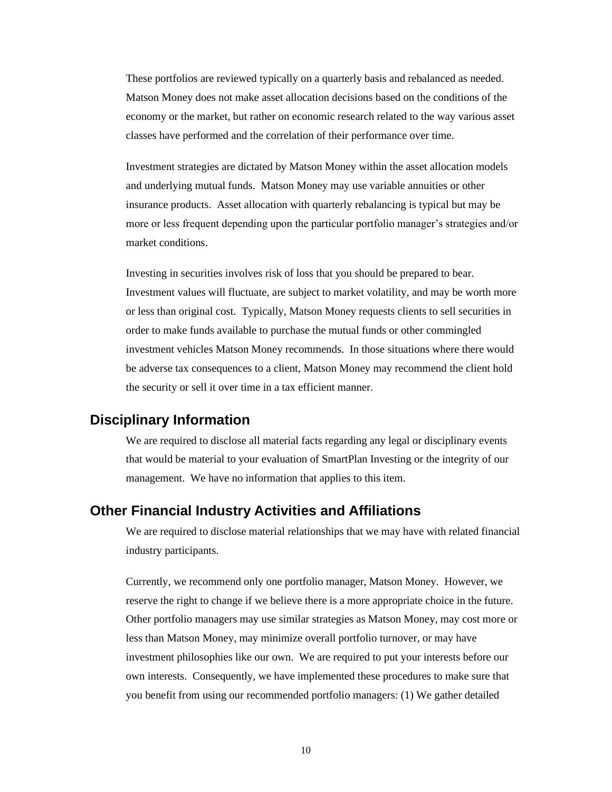These portfolios are reviewed typically on a quarterly basis and rebalanced as needed. Matson Money does not make asset allocation decisions based on the conditions of the economy or the market, but rather on economic research related to the way various asset classes have performed and the correlation of their performance over time.

Investment strategies are dictated by Matson Money within the asset allocation models and underlying mutual funds. Matson Money may use variable annuities or other insurance products. Asset allocation with quarterly rebalancing is typical but may be more or less frequent depending upon the particular portfolio manager's strategies and/or market conditions.

Investing in securities involves risk of loss that you should be prepared to bear. Investment values will fluctuate, are subject to market volatility, and may be worth more or less than original cost. Typically, Matson Money requests clients to sell securities in order to make funds available to purchase the mutual funds or other commingled investment vehicles Matson Money recommends. In those situations where there would be adverse tax consequences to a client, Matson Money may recommend the client hold the security or sell it over time in a tax efficient manner.

### <span id="page-9-0"></span>**Disciplinary Information**

We are required to disclose all material facts regarding any legal or disciplinary events that would be material to your evaluation of SmartPlan Investing or the integrity of our management. We have no information that applies to this item.

### <span id="page-9-1"></span>**Other Financial Industry Activities and Affiliations**

We are required to disclose material relationships that we may have with related financial industry participants.

Currently, we recommend only one portfolio manager, Matson Money. However, we reserve the right to change if we believe there is a more appropriate choice in the future. Other portfolio managers may use similar strategies as Matson Money, may cost more or less than Matson Money, may minimize overall portfolio turnover, or may have investment philosophies like our own. We are required to put your interests before our own interests. Consequently, we have implemented these procedures to make sure that you benefit from using our recommended portfolio managers: (1) We gather detailed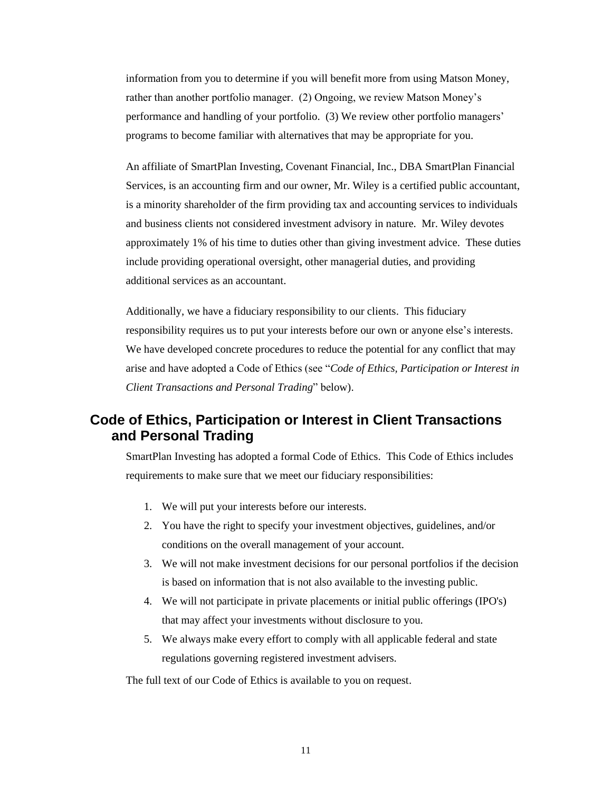information from you to determine if you will benefit more from using Matson Money, rather than another portfolio manager. (2) Ongoing, we review Matson Money's performance and handling of your portfolio. (3) We review other portfolio managers' programs to become familiar with alternatives that may be appropriate for you.

An affiliate of SmartPlan Investing, Covenant Financial, Inc., DBA SmartPlan Financial Services, is an accounting firm and our owner, Mr. Wiley is a certified public accountant, is a minority shareholder of the firm providing tax and accounting services to individuals and business clients not considered investment advisory in nature. Mr. Wiley devotes approximately 1% of his time to duties other than giving investment advice. These duties include providing operational oversight, other managerial duties, and providing additional services as an accountant.

Additionally, we have a fiduciary responsibility to our clients. This fiduciary responsibility requires us to put your interests before our own or anyone else's interests. We have developed concrete procedures to reduce the potential for any conflict that may arise and have adopted a Code of Ethics (see "*Code of Ethics, Participation or Interest in Client Transactions and Personal Trading*" below).

## <span id="page-10-0"></span>**Code of Ethics, Participation or Interest in Client Transactions and Personal Trading**

SmartPlan Investing has adopted a formal Code of Ethics. This Code of Ethics includes requirements to make sure that we meet our fiduciary responsibilities:

- 1. We will put your interests before our interests.
- 2. You have the right to specify your investment objectives, guidelines, and/or conditions on the overall management of your account.
- 3. We will not make investment decisions for our personal portfolios if the decision is based on information that is not also available to the investing public.
- 4. We will not participate in private placements or initial public offerings (IPO's) that may affect your investments without disclosure to you.
- 5. We always make every effort to comply with all applicable federal and state regulations governing registered investment advisers.

The full text of our Code of Ethics is available to you on request.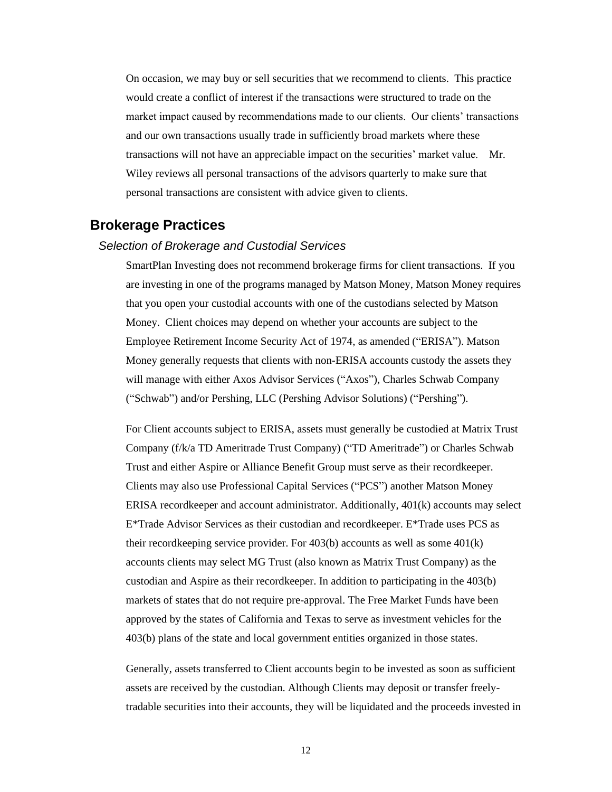On occasion, we may buy or sell securities that we recommend to clients. This practice would create a conflict of interest if the transactions were structured to trade on the market impact caused by recommendations made to our clients. Our clients' transactions and our own transactions usually trade in sufficiently broad markets where these transactions will not have an appreciable impact on the securities' market value. Mr. Wiley reviews all personal transactions of the advisors quarterly to make sure that personal transactions are consistent with advice given to clients.

### <span id="page-11-0"></span>**Brokerage Practices**

#### *Selection of Brokerage and Custodial Services*

SmartPlan Investing does not recommend brokerage firms for client transactions. If you are investing in one of the programs managed by Matson Money, Matson Money requires that you open your custodial accounts with one of the custodians selected by Matson Money. Client choices may depend on whether your accounts are subject to the Employee Retirement Income Security Act of 1974, as amended ("ERISA"). Matson Money generally requests that clients with non-ERISA accounts custody the assets they will manage with either Axos Advisor Services ("Axos"), Charles Schwab Company ("Schwab") and/or Pershing, LLC (Pershing Advisor Solutions) ("Pershing").

For Client accounts subject to ERISA, assets must generally be custodied at Matrix Trust Company (f/k/a TD Ameritrade Trust Company) ("TD Ameritrade") or Charles Schwab Trust and either Aspire or Alliance Benefit Group must serve as their recordkeeper. Clients may also use Professional Capital Services ("PCS") another Matson Money ERISA recordkeeper and account administrator. Additionally, 401(k) accounts may select E\*Trade Advisor Services as their custodian and recordkeeper. E\*Trade uses PCS as their recordkeeping service provider. For 403(b) accounts as well as some 401(k) accounts clients may select MG Trust (also known as Matrix Trust Company) as the custodian and Aspire as their recordkeeper. In addition to participating in the 403(b) markets of states that do not require pre-approval. The Free Market Funds have been approved by the states of California and Texas to serve as investment vehicles for the 403(b) plans of the state and local government entities organized in those states.

Generally, assets transferred to Client accounts begin to be invested as soon as sufficient assets are received by the custodian. Although Clients may deposit or transfer freelytradable securities into their accounts, they will be liquidated and the proceeds invested in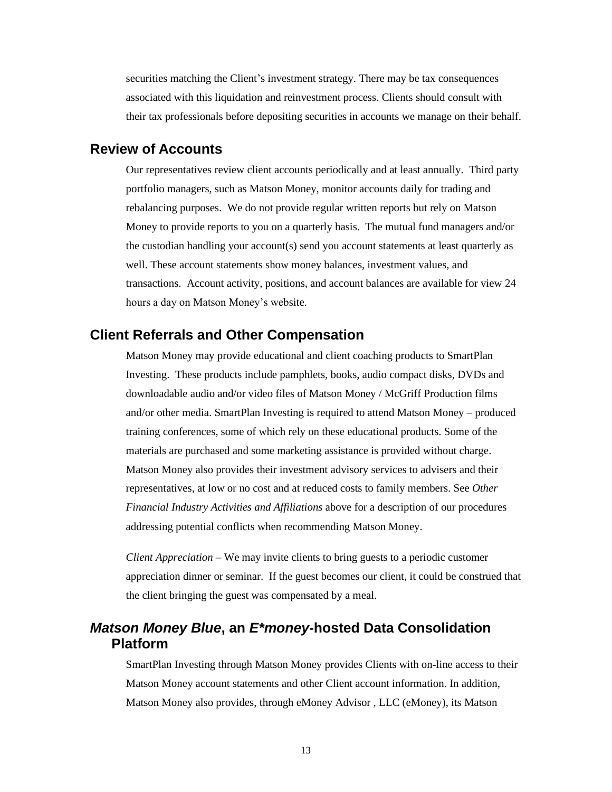securities matching the Client's investment strategy. There may be tax consequences associated with this liquidation and reinvestment process. Clients should consult with their tax professionals before depositing securities in accounts we manage on their behalf.

### <span id="page-12-0"></span>**Review of Accounts**

Our representatives review client accounts periodically and at least annually. Third party portfolio managers, such as Matson Money, monitor accounts daily for trading and rebalancing purposes. We do not provide regular written reports but rely on Matson Money to provide reports to you on a quarterly basis. The mutual fund managers and/or the custodian handling your account(s) send you account statements at least quarterly as well. These account statements show money balances, investment values, and transactions. Account activity, positions, and account balances are available for view 24 hours a day on Matson Money's website.

### <span id="page-12-1"></span>**Client Referrals and Other Compensation**

Matson Money may provide educational and client coaching products to SmartPlan Investing. These products include pamphlets, books, audio compact disks, DVDs and downloadable audio and/or video files of Matson Money / McGriff Production films and/or other media. SmartPlan Investing is required to attend Matson Money – produced training conferences, some of which rely on these educational products. Some of the materials are purchased and some marketing assistance is provided without charge. Matson Money also provides their investment advisory services to advisers and their representatives, at low or no cost and at reduced costs to family members. See *Other Financial Industry Activities and Affiliations* above for a description of our procedures addressing potential conflicts when recommending Matson Money.

*Client Appreciation* – We may invite clients to bring guests to a periodic customer appreciation dinner or seminar. If the guest becomes our client, it could be construed that the client bringing the guest was compensated by a meal.

### *Matson Money Blue***, an** *E\*money***-hosted Data Consolidation Platform**

SmartPlan Investing through Matson Money provides Clients with on-line access to their Matson Money account statements and other Client account information. In addition, Matson Money also provides, through eMoney Advisor , LLC (eMoney), its Matson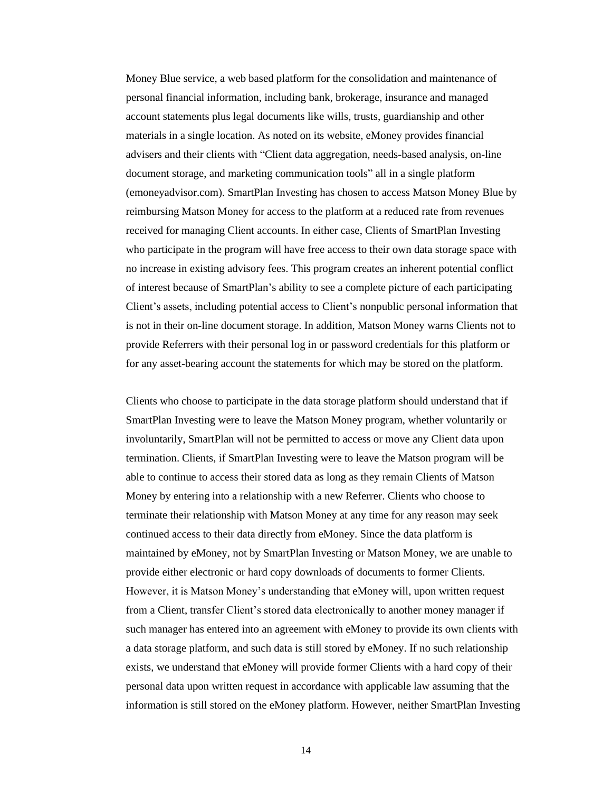Money Blue service, a web based platform for the consolidation and maintenance of personal financial information, including bank, brokerage, insurance and managed account statements plus legal documents like wills, trusts, guardianship and other materials in a single location. As noted on its website, eMoney provides financial advisers and their clients with "Client data aggregation, needs-based analysis, on-line document storage, and marketing communication tools" all in a single platform (emoneyadvisor.com). SmartPlan Investing has chosen to access Matson Money Blue by reimbursing Matson Money for access to the platform at a reduced rate from revenues received for managing Client accounts. In either case, Clients of SmartPlan Investing who participate in the program will have free access to their own data storage space with no increase in existing advisory fees. This program creates an inherent potential conflict of interest because of SmartPlan's ability to see a complete picture of each participating Client's assets, including potential access to Client's nonpublic personal information that is not in their on-line document storage. In addition, Matson Money warns Clients not to provide Referrers with their personal log in or password credentials for this platform or for any asset-bearing account the statements for which may be stored on the platform.

Clients who choose to participate in the data storage platform should understand that if SmartPlan Investing were to leave the Matson Money program, whether voluntarily or involuntarily, SmartPlan will not be permitted to access or move any Client data upon termination. Clients, if SmartPlan Investing were to leave the Matson program will be able to continue to access their stored data as long as they remain Clients of Matson Money by entering into a relationship with a new Referrer. Clients who choose to terminate their relationship with Matson Money at any time for any reason may seek continued access to their data directly from eMoney. Since the data platform is maintained by eMoney, not by SmartPlan Investing or Matson Money, we are unable to provide either electronic or hard copy downloads of documents to former Clients. However, it is Matson Money's understanding that eMoney will, upon written request from a Client, transfer Client's stored data electronically to another money manager if such manager has entered into an agreement with eMoney to provide its own clients with a data storage platform, and such data is still stored by eMoney. If no such relationship exists, we understand that eMoney will provide former Clients with a hard copy of their personal data upon written request in accordance with applicable law assuming that the information is still stored on the eMoney platform. However, neither SmartPlan Investing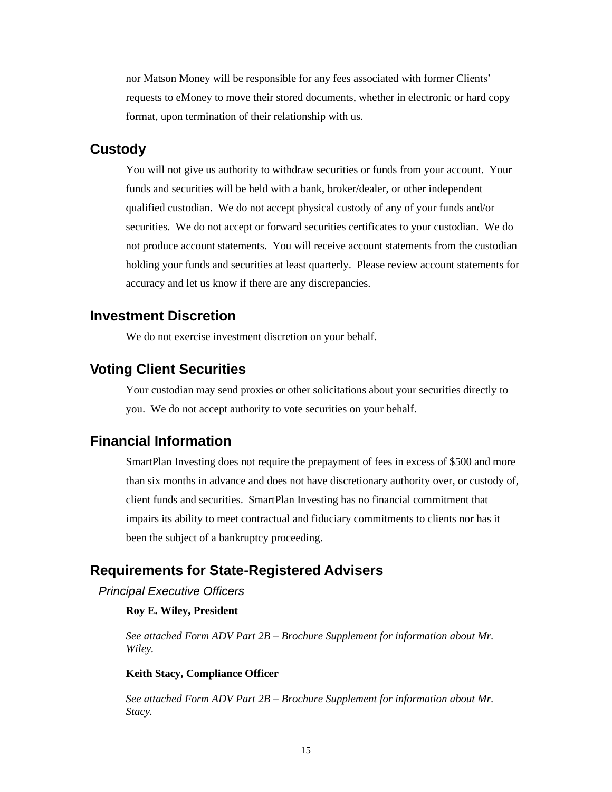nor Matson Money will be responsible for any fees associated with former Clients' requests to eMoney to move their stored documents, whether in electronic or hard copy format, upon termination of their relationship with us.

### **Custody**

You will not give us authority to withdraw securities or funds from your account. Your funds and securities will be held with a bank, broker/dealer, or other independent qualified custodian. We do not accept physical custody of any of your funds and/or securities. We do not accept or forward securities certificates to your custodian. We do not produce account statements. You will receive account statements from the custodian holding your funds and securities at least quarterly. Please review account statements for accuracy and let us know if there are any discrepancies.

### <span id="page-14-0"></span>**Investment Discretion**

We do not exercise investment discretion on your behalf.

### <span id="page-14-1"></span>**Voting Client Securities**

Your custodian may send proxies or other solicitations about your securities directly to you. We do not accept authority to vote securities on your behalf.

### <span id="page-14-2"></span>**Financial Information**

SmartPlan Investing does not require the prepayment of fees in excess of \$500 and more than six months in advance and does not have discretionary authority over, or custody of, client funds and securities. SmartPlan Investing has no financial commitment that impairs its ability to meet contractual and fiduciary commitments to clients nor has it been the subject of a bankruptcy proceeding.

### <span id="page-14-3"></span>**Requirements for State-Registered Advisers**

*Principal Executive Officers*

#### **Roy E. Wiley, President**

*See attached Form ADV Part 2B – Brochure Supplement for information about Mr. Wiley.*

#### **Keith Stacy, Compliance Officer**

*See attached Form ADV Part 2B – Brochure Supplement for information about Mr. Stacy.*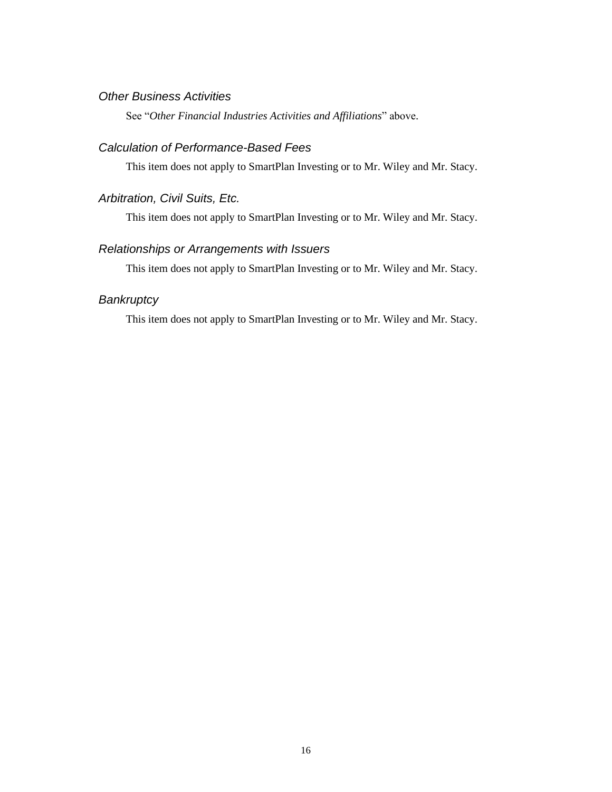#### *Other Business Activities*

See "*Other Financial Industries Activities and Affiliations*" above.

#### *Calculation of Performance-Based Fees*

This item does not apply to SmartPlan Investing or to Mr. Wiley and Mr. Stacy.

### *Arbitration, Civil Suits, Etc.*

This item does not apply to SmartPlan Investing or to Mr. Wiley and Mr. Stacy.

### *Relationships or Arrangements with Issuers*

This item does not apply to SmartPlan Investing or to Mr. Wiley and Mr. Stacy.

### *Bankruptcy*

This item does not apply to SmartPlan Investing or to Mr. Wiley and Mr. Stacy.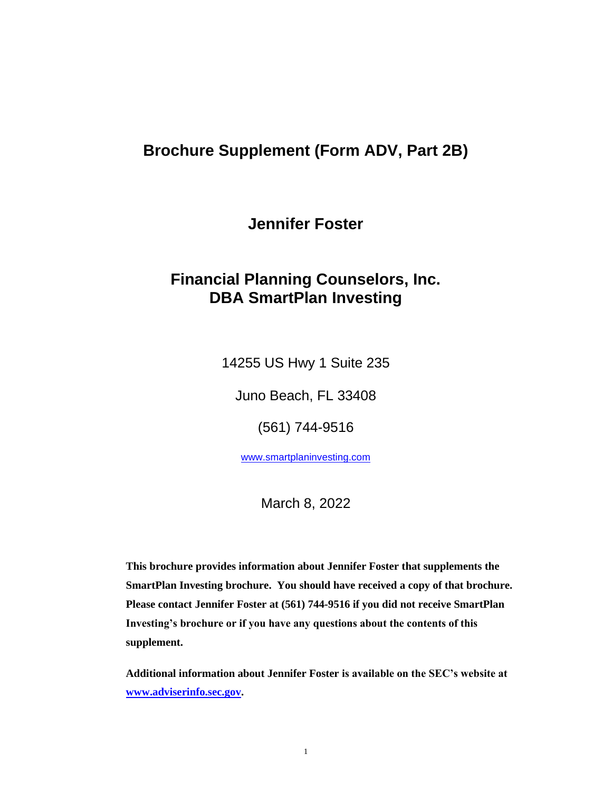**Jennifer Foster**

# **Financial Planning Counselors, Inc. DBA SmartPlan Investing**

14255 US Hwy 1 Suite 235

Juno Beach, FL 33408

(561) 744-9516

[www.smartplaninvesting.com](http://www.smartplaninvesting.com/)

March 8, 2022

**This brochure provides information about Jennifer Foster that supplements the SmartPlan Investing brochure. You should have received a copy of that brochure. Please contact Jennifer Foster at (561) 744-9516 if you did not receive SmartPlan Investing's brochure or if you have any questions about the contents of this supplement.** 

**Additional information about Jennifer Foster is available on the SEC's website at [www.adviserinfo.sec.gov.](http://www.adviserinfo.sec.gov/)**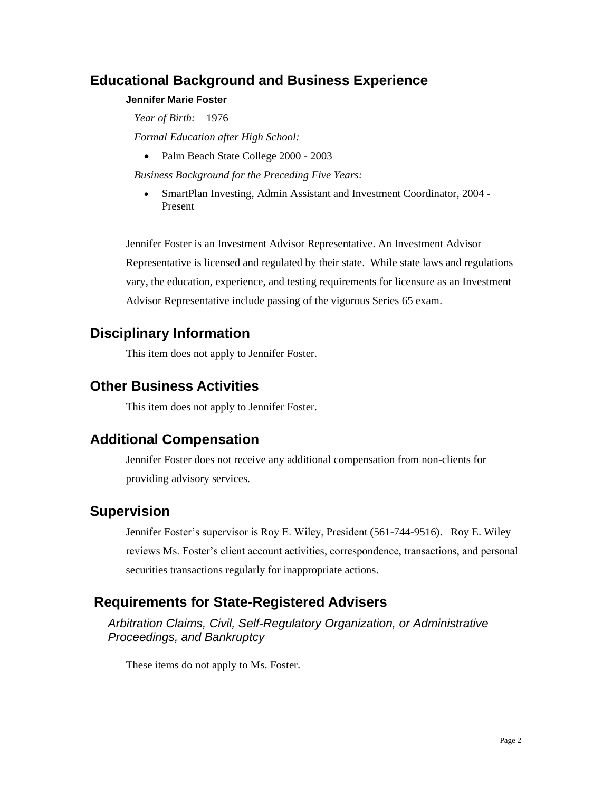#### **Jennifer Marie Foster**

*Year of Birth:* 1976 *Formal Education after High School:*

• Palm Beach State College 2000 - 2003

*Business Background for the Preceding Five Years:*

• SmartPlan Investing, Admin Assistant and Investment Coordinator, 2004 -Present

Jennifer Foster is an Investment Advisor Representative. An Investment Advisor Representative is licensed and regulated by their state. While state laws and regulations vary, the education, experience, and testing requirements for licensure as an Investment Advisor Representative include passing of the vigorous Series 65 exam.

## **Disciplinary Information**

This item does not apply to Jennifer Foster.

## **Other Business Activities**

This item does not apply to Jennifer Foster.

## **Additional Compensation**

Jennifer Foster does not receive any additional compensation from non-clients for providing advisory services.

## **Supervision**

Jennifer Foster's supervisor is Roy E. Wiley, President (561-744-9516). Roy E. Wiley reviews Ms. Foster's client account activities, correspondence, transactions, and personal securities transactions regularly for inappropriate actions.

## **Requirements for State-Registered Advisers**

*Arbitration Claims, Civil, Self-Regulatory Organization, or Administrative Proceedings, and Bankruptcy*

These items do not apply to Ms. Foster.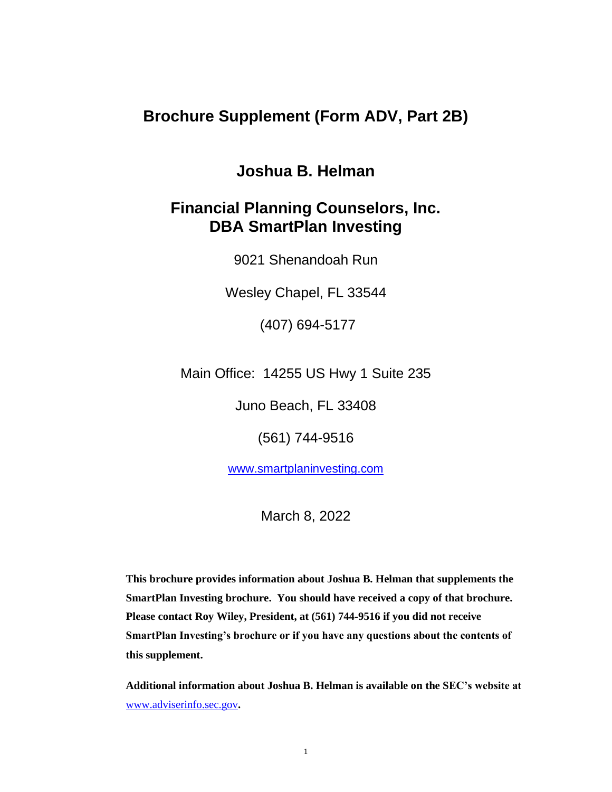# **Joshua B. Helman**

# **Financial Planning Counselors, Inc. DBA SmartPlan Investing**

9021 Shenandoah Run

Wesley Chapel, FL 33544

(407) 694-5177

Main Office: 14255 US Hwy 1 Suite 235

Juno Beach, FL 33408

(561) 744-9516

[www.smartplaninvesting.com](http://www.smartplaninvesting.com/) 

March 8, 2022

**This brochure provides information about Joshua B. Helman that supplements the SmartPlan Investing brochure. You should have received a copy of that brochure. Please contact Roy Wiley, President, at (561) 744-9516 if you did not receive SmartPlan Investing's brochure or if you have any questions about the contents of this supplement.** 

**Additional information about Joshua B. Helman is available on the SEC's website at**  [www.adviserinfo.sec.gov](http://www.adviserinfo.sec.gov/)**.**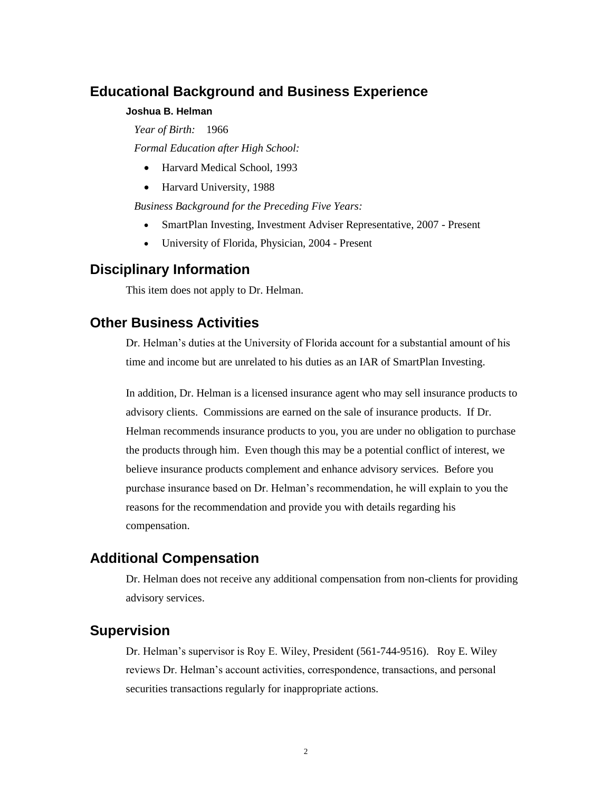#### **Joshua B. Helman**

*Year of Birth:* 1966

*Formal Education after High School:*

- Harvard Medical School, 1993
- Harvard University, 1988

*Business Background for the Preceding Five Years:*

- SmartPlan Investing, Investment Adviser Representative, 2007 Present
- University of Florida, Physician, 2004 Present

### **Disciplinary Information**

This item does not apply to Dr. Helman.

### **Other Business Activities**

Dr. Helman's duties at the University of Florida account for a substantial amount of his time and income but are unrelated to his duties as an IAR of SmartPlan Investing.

In addition, Dr. Helman is a licensed insurance agent who may sell insurance products to advisory clients. Commissions are earned on the sale of insurance products. If Dr. Helman recommends insurance products to you, you are under no obligation to purchase the products through him. Even though this may be a potential conflict of interest, we believe insurance products complement and enhance advisory services. Before you purchase insurance based on Dr. Helman's recommendation, he will explain to you the reasons for the recommendation and provide you with details regarding his compensation.

### **Additional Compensation**

Dr. Helman does not receive any additional compensation from non-clients for providing advisory services.

### **Supervision**

Dr. Helman's supervisor is Roy E. Wiley, President (561-744-9516). Roy E. Wiley reviews Dr. Helman's account activities, correspondence, transactions, and personal securities transactions regularly for inappropriate actions.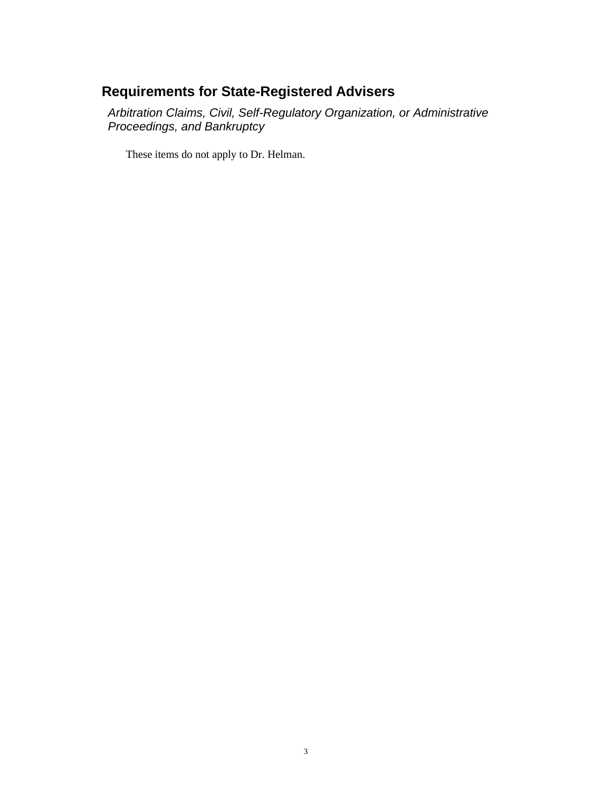# **Requirements for State-Registered Advisers**

*Arbitration Claims, Civil, Self-Regulatory Organization, or Administrative Proceedings, and Bankruptcy*

These items do not apply to Dr. Helman.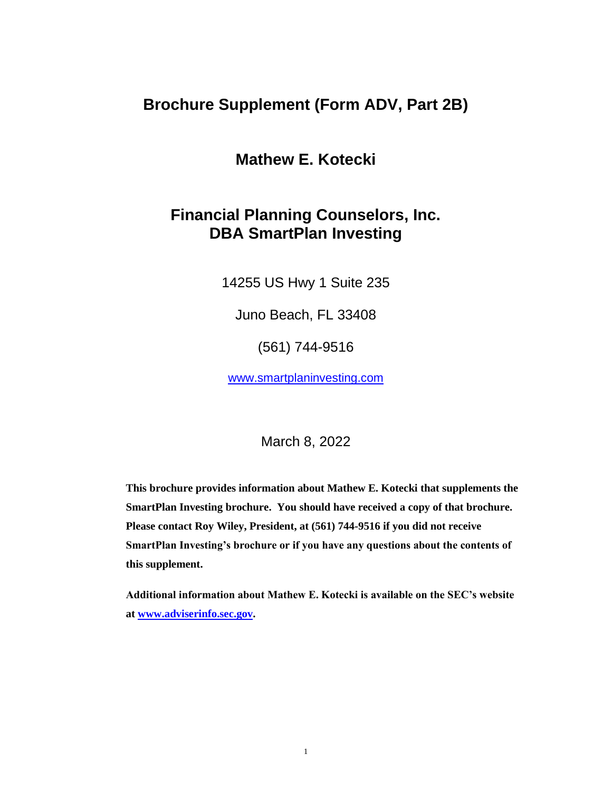# **Mathew E. Kotecki**

# **Financial Planning Counselors, Inc. DBA SmartPlan Investing**

14255 US Hwy 1 Suite 235

Juno Beach, FL 33408

(561) 744-9516

[www.smartplaninvesting.com](http://www.smartplaninvesting.com/) 

March 8, 2022

**This brochure provides information about Mathew E. Kotecki that supplements the SmartPlan Investing brochure. You should have received a copy of that brochure. Please contact Roy Wiley, President, at (561) 744-9516 if you did not receive SmartPlan Investing's brochure or if you have any questions about the contents of this supplement.** 

**Additional information about Mathew E. Kotecki is available on the SEC's website at [www.adviserinfo.sec.gov.](http://www.adviserinfo.sec.gov/)**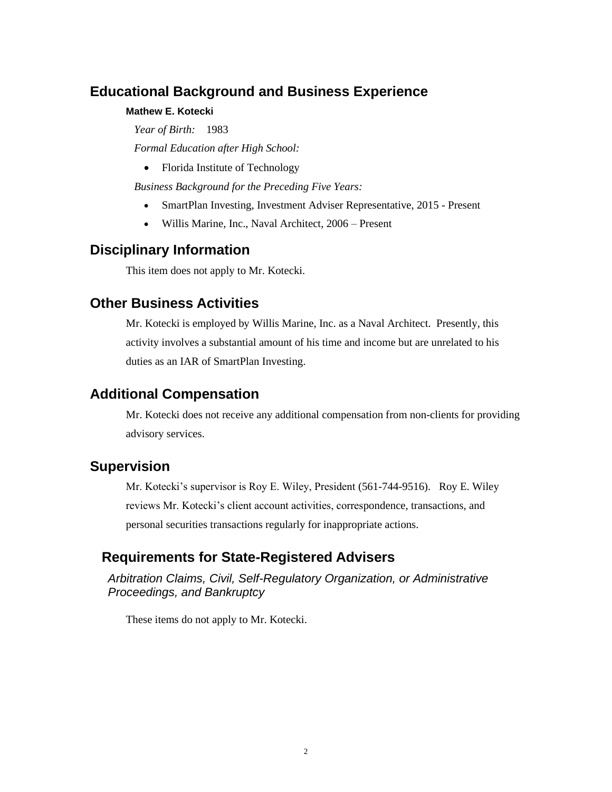#### **Mathew E. Kotecki**

*Year of Birth:* 1983

*Formal Education after High School:*

• Florida Institute of Technology

*Business Background for the Preceding Five Years:*

- SmartPlan Investing, Investment Adviser Representative, 2015 Present
- Willis Marine, Inc., Naval Architect, 2006 Present

## **Disciplinary Information**

This item does not apply to Mr. Kotecki.

### **Other Business Activities**

Mr. Kotecki is employed by Willis Marine, Inc. as a Naval Architect. Presently, this activity involves a substantial amount of his time and income but are unrelated to his duties as an IAR of SmartPlan Investing.

## **Additional Compensation**

Mr. Kotecki does not receive any additional compensation from non-clients for providing advisory services.

## **Supervision**

Mr. Kotecki's supervisor is Roy E. Wiley, President (561-744-9516). Roy E. Wiley reviews Mr. Kotecki's client account activities, correspondence, transactions, and personal securities transactions regularly for inappropriate actions.

## **Requirements for State-Registered Advisers**

*Arbitration Claims, Civil, Self-Regulatory Organization, or Administrative Proceedings, and Bankruptcy*

These items do not apply to Mr. Kotecki.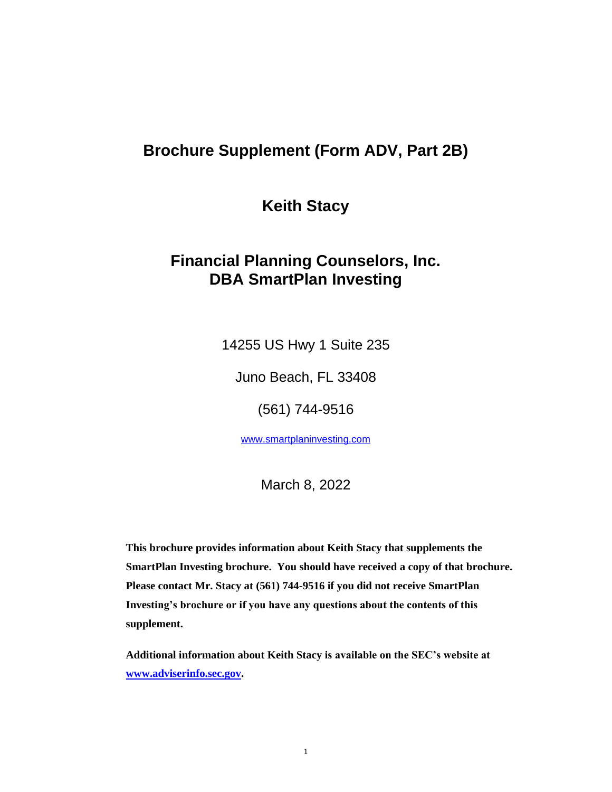**Keith Stacy**

# **Financial Planning Counselors, Inc. DBA SmartPlan Investing**

14255 US Hwy 1 Suite 235

Juno Beach, FL 33408

(561) 744-9516

[www.smartplaninvesting.com](http://www.smartplaninvesting.com/)

March 8, 2022

**This brochure provides information about Keith Stacy that supplements the SmartPlan Investing brochure. You should have received a copy of that brochure. Please contact Mr. Stacy at (561) 744-9516 if you did not receive SmartPlan Investing's brochure or if you have any questions about the contents of this supplement.** 

**Additional information about Keith Stacy is available on the SEC's website at [www.adviserinfo.sec.gov.](http://www.adviserinfo.sec.gov/)**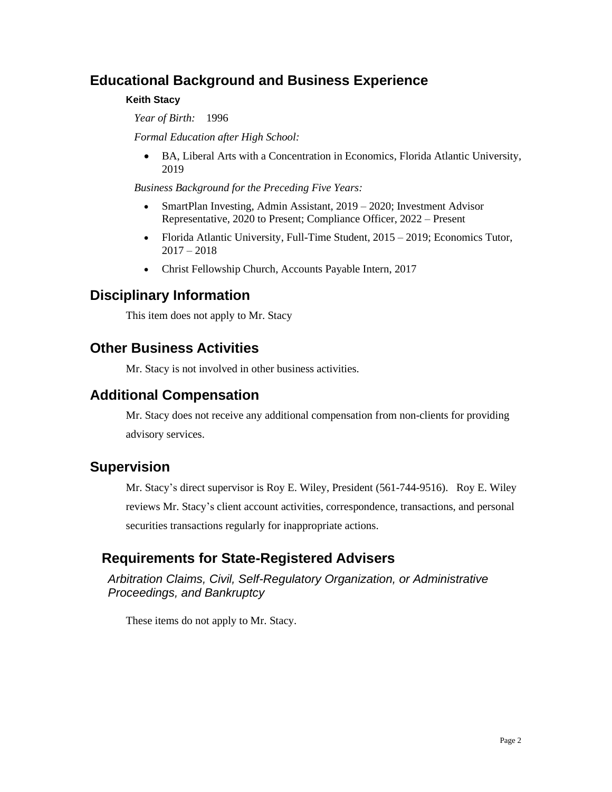### **Keith Stacy**

*Year of Birth:* 1996

*Formal Education after High School:*

• BA, Liberal Arts with a Concentration in Economics, Florida Atlantic University, 2019

*Business Background for the Preceding Five Years:*

- SmartPlan Investing, Admin Assistant, 2019 2020; Investment Advisor Representative, 2020 to Present; Compliance Officer, 2022 – Present
- Florida Atlantic University, Full-Time Student, 2015 2019; Economics Tutor,  $2017 - 2018$
- Christ Fellowship Church, Accounts Payable Intern, 2017

## **Disciplinary Information**

This item does not apply to Mr. Stacy

## **Other Business Activities**

Mr. Stacy is not involved in other business activities.

## **Additional Compensation**

Mr. Stacy does not receive any additional compensation from non-clients for providing advisory services.

## **Supervision**

Mr. Stacy's direct supervisor is Roy E. Wiley, President (561-744-9516). Roy E. Wiley reviews Mr. Stacy's client account activities, correspondence, transactions, and personal securities transactions regularly for inappropriate actions.

## **Requirements for State-Registered Advisers**

*Arbitration Claims, Civil, Self-Regulatory Organization, or Administrative Proceedings, and Bankruptcy*

These items do not apply to Mr. Stacy.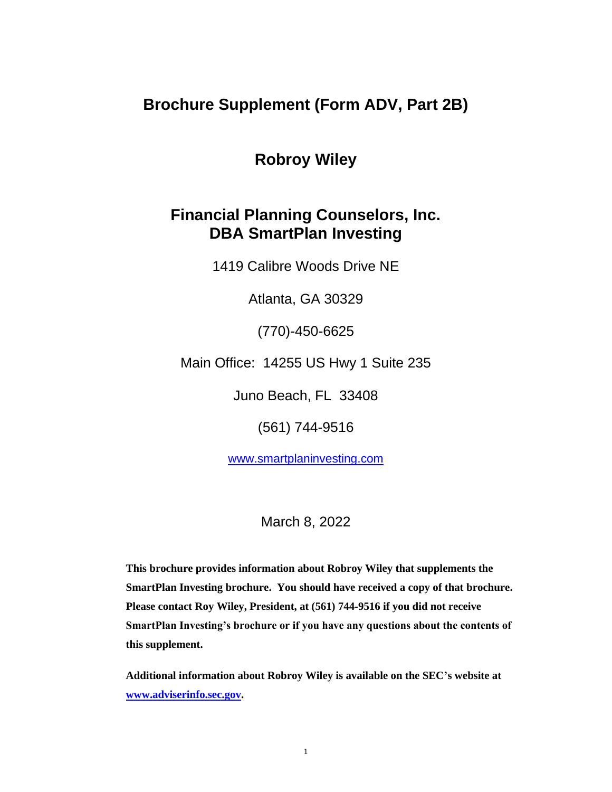# **Robroy Wiley**

# **Financial Planning Counselors, Inc. DBA SmartPlan Investing**

1419 Calibre Woods Drive NE

Atlanta, GA 30329

(770)-450-6625

Main Office: 14255 US Hwy 1 Suite 235

Juno Beach, FL 33408

(561) 744-9516

[www.smartplaninvesting.com](http://www.smartplaninvesting.com/) 

March 8, 2022

**This brochure provides information about Robroy Wiley that supplements the SmartPlan Investing brochure. You should have received a copy of that brochure. Please contact Roy Wiley, President, at (561) 744-9516 if you did not receive SmartPlan Investing's brochure or if you have any questions about the contents of this supplement.** 

**Additional information about Robroy Wiley is available on the SEC's website at [www.adviserinfo.sec.gov.](http://www.adviserinfo.sec.gov/)**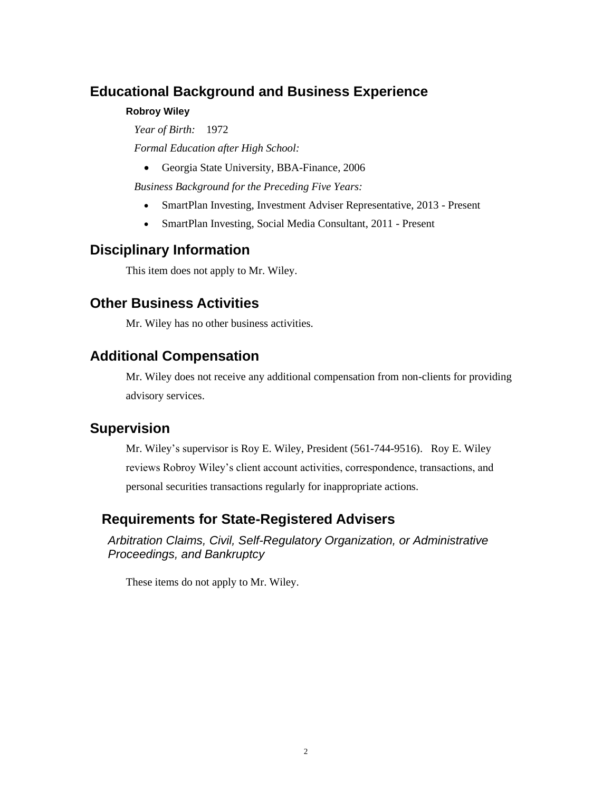### **Robroy Wiley**

*Year of Birth:* 1972

*Formal Education after High School:*

• Georgia State University, BBA-Finance, 2006

*Business Background for the Preceding Five Years:*

- SmartPlan Investing, Investment Adviser Representative, 2013 Present
- SmartPlan Investing, Social Media Consultant, 2011 Present

## **Disciplinary Information**

This item does not apply to Mr. Wiley.

## **Other Business Activities**

Mr. Wiley has no other business activities.

## **Additional Compensation**

Mr. Wiley does not receive any additional compensation from non-clients for providing advisory services.

## **Supervision**

Mr. Wiley's supervisor is Roy E. Wiley, President (561-744-9516). Roy E. Wiley reviews Robroy Wiley's client account activities, correspondence, transactions, and personal securities transactions regularly for inappropriate actions.

## **Requirements for State-Registered Advisers**

*Arbitration Claims, Civil, Self-Regulatory Organization, or Administrative Proceedings, and Bankruptcy*

These items do not apply to Mr. Wiley.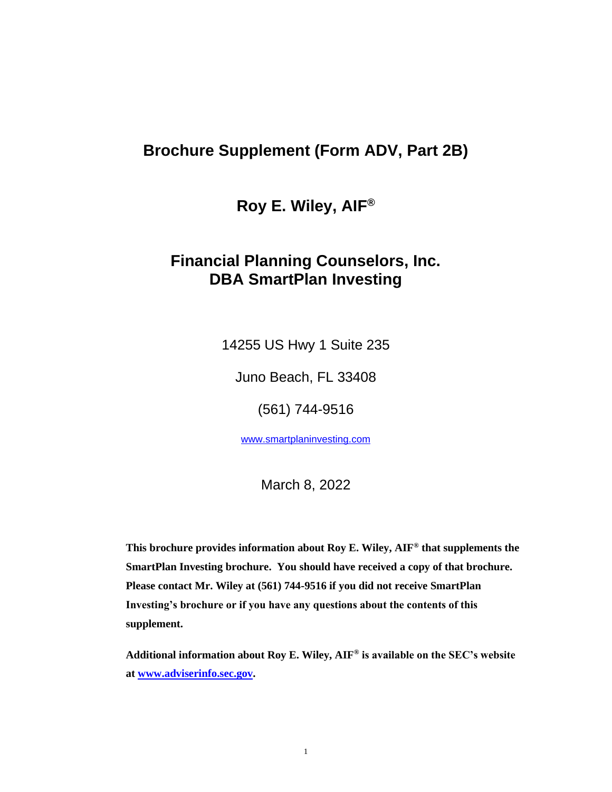**Roy E. Wiley, AIF®**

# **Financial Planning Counselors, Inc. DBA SmartPlan Investing**

14255 US Hwy 1 Suite 235

Juno Beach, FL 33408

(561) 744-9516

www.smartplaninvesting.com

March 8, 2022

**This brochure provides information about Roy E. Wiley, AIF® that supplements the SmartPlan Investing brochure. You should have received a copy of that brochure. Please contact Mr. Wiley at (561) 744-9516 if you did not receive SmartPlan Investing's brochure or if you have any questions about the contents of this supplement.** 

**Additional information about Roy E. Wiley, AIF® is available on the SEC's website at www.adviserinfo.sec.gov.**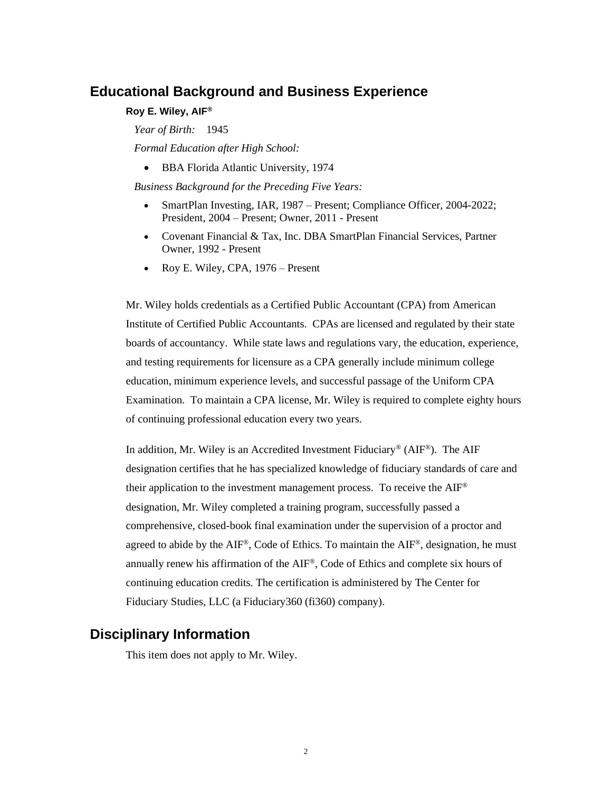#### **Roy E. Wiley, AIF®**

*Year of Birth:* 1945

*Formal Education after High School:*

• BBA Florida Atlantic University, 1974

*Business Background for the Preceding Five Years:*

- SmartPlan Investing, IAR, 1987 Present; Compliance Officer, 2004-2022; President, 2004 – Present; Owner, 2011 - Present
- Covenant Financial & Tax, Inc. DBA SmartPlan Financial Services, Partner Owner, 1992 - Present
- Roy E. Wiley, CPA, 1976 Present

Mr. Wiley holds credentials as a Certified Public Accountant (CPA) from American Institute of Certified Public Accountants. CPAs are licensed and regulated by their state boards of accountancy. While state laws and regulations vary, the education, experience, and testing requirements for licensure as a CPA generally include minimum college education, minimum experience levels, and successful passage of the Uniform CPA Examination. To maintain a CPA license, Mr. Wiley is required to complete eighty hours of continuing professional education every two years.

In addition, Mr. Wiley is an Accredited Investment Fiduciary<sup>®</sup> (AIF<sup>®</sup>). The AIF designation certifies that he has specialized knowledge of fiduciary standards of care and their application to the investment management process. To receive the AIF ® designation, Mr. Wiley completed a training program, successfully passed a comprehensive, closed-book final examination under the supervision of a proctor and agreed to abide by the  $AIF^{\circledast}$ , Code of Ethics. To maintain the  $AIF^{\circledast}$ , designation, he must annually renew his affirmation of the AIF®, Code of Ethics and complete six hours of continuing education credits. The certification is administered by The Center for Fiduciary Studies, LLC (a Fiduciary360 (fi360) company).

### **Disciplinary Information**

This item does not apply to Mr. Wiley.